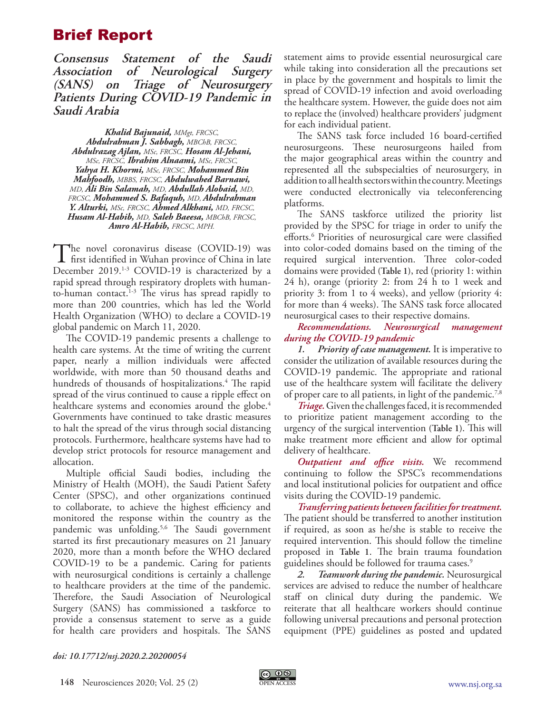## Brief Report

**Consensus Statement of the Saudi Association of Neurological Surgery (SANS) on Triage of Neurosurgery Patients During COVID-19 Pandemic in Saudi Arabia**

*Khalid Bajunaid, MMgt, FRCSC, Abdulrahman J. Sabbagh, MBChB, FRCSC, Abdulrazag Ajlan, MSc, FRCSC, Hosam Al-Jehani, MSc, FRCSC, Ibrahim Alnaami, MSc, FRCSC, Yahya H. Khormi, MSc, FRCSC, Mohammed Bin Mahfoodh, MBBS, FRCSC, Abdulwahed Barnawi, MD, Ali Bin Salamah, MD, Abdullah Alobaid, MD, FRCSC, Mohammed S. Bafaquh, MD, Abdulrahman Y. Alturki, MSc, FRCSC, Ahmed Alkhani, MD, FRCSC, Husam Al-Habib, MD, Saleh Baeesa, MBChB, FRCSC, Amro Al-Habib, FRCSC, MPH.*

The novel coronavirus disease (COVID-19) was<br>first identified in Wuhan province of China in late<br>Desember 2019 <sup>13</sup> COVID-19 is absorpted by a December 2019.<sup>1-3</sup> COVID-19 is characterized by a rapid spread through respiratory droplets with humanto-human contact. $1-3$  The virus has spread rapidly to more than 200 countries, which has led the World Health Organization (WHO) to declare a COVID-19 global pandemic on March 11, 2020.

The COVID-19 pandemic presents a challenge to health care systems. At the time of writing the current paper, nearly a million individuals were affected worldwide, with more than 50 thousand deaths and hundreds of thousands of hospitalizations.4 The rapid spread of the virus continued to cause a ripple effect on healthcare systems and economies around the globe.<sup>4</sup> Governments have continued to take drastic measures to halt the spread of the virus through social distancing protocols. Furthermore, healthcare systems have had to develop strict protocols for resource management and allocation.

Multiple official Saudi bodies, including the Ministry of Health (MOH), the Saudi Patient Safety Center (SPSC), and other organizations continued to collaborate, to achieve the highest efficiency and monitored the response within the country as the pandemic was unfolding.5,6 The Saudi government started its first precautionary measures on 21 January 2020, more than a month before the WHO declared COVID-19 to be a pandemic. Caring for patients with neurosurgical conditions is certainly a challenge to healthcare providers at the time of the pandemic. Therefore, the Saudi Association of Neurological Surgery (SANS) has commissioned a taskforce to provide a consensus statement to serve as a guide for health care providers and hospitals. The SANS

statement aims to provide essential neurosurgical care while taking into consideration all the precautions set in place by the government and hospitals to limit the spread of COVID-19 infection and avoid overloading the healthcare system. However, the guide does not aim to replace the (involved) healthcare providers' judgment for each individual patient.

The SANS task force included 16 board-certified neurosurgeons. These neurosurgeons hailed from the major geographical areas within the country and represented all the subspecialties of neurosurgery, in addition to all health sectors within the country. Meetings were conducted electronically via teleconferencing platforms.

The SANS taskforce utilized the priority list provided by the SPSC for triage in order to unify the efforts.<sup>6</sup> Priorities of neurosurgical care were classified into color-coded domains based on the timing of the required surgical intervention. Three color-coded domains were provided **(Table 1)**, red (priority 1: within 24 h), orange (priority 2: from 24 h to 1 week and priority 3: from 1 to 4 weeks), and yellow (priority 4: for more than 4 weeks). The SANS task force allocated neurosurgical cases to their respective domains.

## *Recommendations. Neurosurgical management during the COVID-19 pandemic*

*1. Priority of case management.* It is imperative to consider the utilization of available resources during the COVID-19 pandemic. The appropriate and rational use of the healthcare system will facilitate the delivery of proper care to all patients, in light of the pandemic.<sup>7,8</sup>

*Triage.* Given the challenges faced, it is recommended to prioritize patient management according to the urgency of the surgical intervention **(Table 1)**. This will make treatment more efficient and allow for optimal delivery of healthcare.

*Outpatient and office visits.* We recommend continuing to follow the SPSC's recommendations and local institutional policies for outpatient and office visits during the COVID-19 pandemic.

*Transferring patients between facilities for treatment.* The patient should be transferred to another institution if required, as soon as he/she is stable to receive the required intervention. This should follow the timeline proposed in **Table 1**. The brain trauma foundation guidelines should be followed for trauma cases.<sup>9</sup>

*2. Teamwork during the pandemic.* Neurosurgical services are advised to reduce the number of healthcare staff on clinical duty during the pandemic. We reiterate that all healthcare workers should continue following universal precautions and personal protection equipment (PPE) guidelines as posted and updated

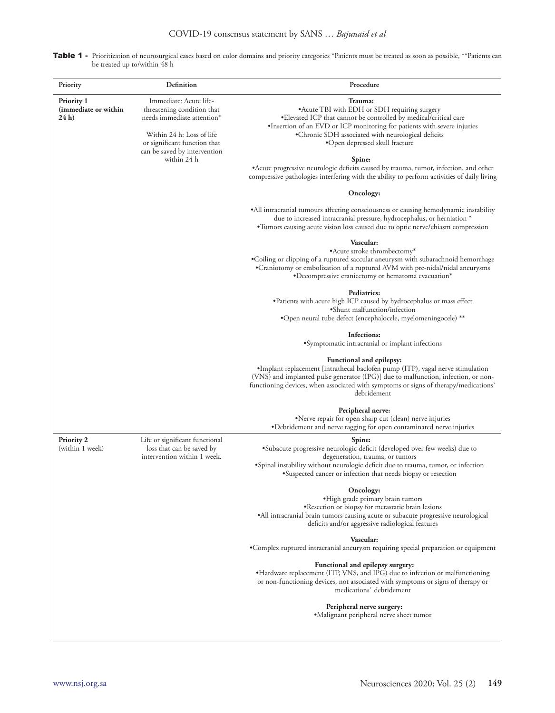|  | Table 1 - Prioritization of neurosurgical cases based on color domains and priority categories *Patients must be treated as soon as possible, **Patients can |
|--|--------------------------------------------------------------------------------------------------------------------------------------------------------------|
|  | be treated up to/within 48 h                                                                                                                                 |

| Priority                                                     | Definition                                                                                                                                                                      | Procedure                                                                                                                                                                                                                                                                                             |
|--------------------------------------------------------------|---------------------------------------------------------------------------------------------------------------------------------------------------------------------------------|-------------------------------------------------------------------------------------------------------------------------------------------------------------------------------------------------------------------------------------------------------------------------------------------------------|
| <b>Priority 1</b><br>(immediate or within<br>24 <sub>h</sub> | Immediate: Acute life-<br>threatening condition that<br>needs immediate attention*<br>Within 24 h: Loss of life<br>or significant function that<br>can be saved by intervention | Trauma:<br>•Acute TBI with EDH or SDH requiring surgery<br>• Elevated ICP that cannot be controlled by medical/critical care<br>•Insertion of an EVD or ICP monitoring for patients with severe injuries<br>•Chronic SDH associated with neurological deficits<br>•Open depressed skull fracture      |
|                                                              | within 24 h                                                                                                                                                                     | Spine:<br>• Acute progressive neurologic deficits caused by trauma, tumor, infection, and other<br>compressive pathologies interfering with the ability to perform activities of daily living                                                                                                         |
|                                                              |                                                                                                                                                                                 | Oncology:                                                                                                                                                                                                                                                                                             |
|                                                              |                                                                                                                                                                                 | •All intracranial tumours affecting consciousness or causing hemodynamic instability<br>due to increased intracranial pressure, hydrocephalus, or herniation *<br>•Tumors causing acute vision loss caused due to optic nerve/chiasm compression                                                      |
|                                                              |                                                                                                                                                                                 | Vascular:<br>• Acute stroke thrombectomy*<br>•Coiling or clipping of a ruptured saccular aneurysm with subarachnoid hemorrhage<br>•Craniotomy or embolization of a ruptured AVM with pre-nidal/nidal aneurysms<br>•Decompressive craniectomy or hematoma evacuation*                                  |
|                                                              |                                                                                                                                                                                 | Pediatrics:<br>•Patients with acute high ICP caused by hydrocephalus or mass effect<br>•Shunt malfunction/infection<br>*Open neural tube defect (encephalocele, myelomeningocele) **                                                                                                                  |
|                                                              |                                                                                                                                                                                 | Infections:<br>•Symptomatic intracranial or implant infections                                                                                                                                                                                                                                        |
|                                                              |                                                                                                                                                                                 | Functional and epilepsy:<br>•Implant replacement [intrathecal baclofen pump (ITP), vagal nerve stimulation<br>(VNS) and implanted pulse generator (IPG)] due to malfunction, infection, or non-<br>functioning devices, when associated with symptoms or signs of therapy/medications'<br>debridement |
|                                                              |                                                                                                                                                                                 | Peripheral nerve:<br>•Nerve repair for open sharp cut (clean) nerve injuries<br>•Debridement and nerve tagging for open contaminated nerve injuries                                                                                                                                                   |
| <b>Priority 2</b><br>(within 1 week)                         | Life or significant functional<br>loss that can be saved by<br>intervention within 1 week.                                                                                      | Spine:<br>·Subacute progressive neurologic deficit (developed over few weeks) due to<br>degeneration, trauma, or tumors<br>• Spinal instability without neurologic deficit due to trauma, tumor, or infection<br>•Suspected cancer or infection that needs biopsy or resection                        |
|                                                              |                                                                                                                                                                                 | Oncology:<br>·High grade primary brain tumors<br>. Resection or biopsy for metastatic brain lesions<br>•All intracranial brain tumors causing acute or subacute progressive neurological<br>deficits and/or aggressive radiological features                                                          |
|                                                              |                                                                                                                                                                                 | Vascular:<br>•Complex ruptured intracranial aneurysm requiring special preparation or equipment                                                                                                                                                                                                       |
|                                                              |                                                                                                                                                                                 | Functional and epilepsy surgery:<br>•Hardware replacement (ITP, VNS, and IPG) due to infection or malfunctioning<br>or non-functioning devices, not associated with symptoms or signs of therapy or<br>medications' debridement                                                                       |
|                                                              |                                                                                                                                                                                 | Peripheral nerve surgery:<br>•Malignant peripheral nerve sheet tumor                                                                                                                                                                                                                                  |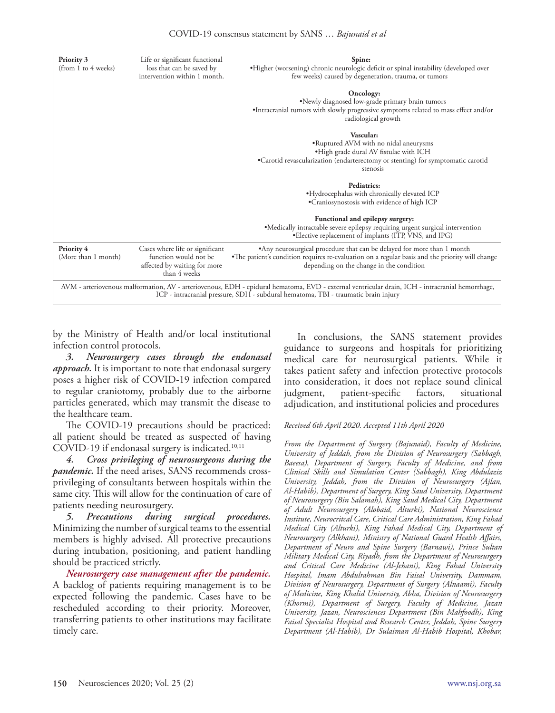| Priority 3<br>(from 1 to 4 weeks)                                                                                                                                                                                                     | Life or significant functional<br>loss that can be saved by<br>intervention within 1 month.              | Spine:<br>·Higher (worsening) chronic neurologic deficit or spinal instability (developed over<br>few weeks) caused by degeneration, trauma, or tumors                                                                |  |  |  |
|---------------------------------------------------------------------------------------------------------------------------------------------------------------------------------------------------------------------------------------|----------------------------------------------------------------------------------------------------------|-----------------------------------------------------------------------------------------------------------------------------------------------------------------------------------------------------------------------|--|--|--|
|                                                                                                                                                                                                                                       |                                                                                                          | Oncology:<br>•Newly diagnosed low-grade primary brain tumors<br>•Intracranial tumors with slowly progressive symptoms related to mass effect and/or<br>radiological growth                                            |  |  |  |
|                                                                                                                                                                                                                                       |                                                                                                          | Vascular:                                                                                                                                                                                                             |  |  |  |
|                                                                                                                                                                                                                                       |                                                                                                          | .Ruptured AVM with no nidal aneurysms<br>.High grade dural AV fistulae with ICH<br>•Carotid revascularization (endarterectomy or stenting) for symptomatic carotid<br>stenosis                                        |  |  |  |
|                                                                                                                                                                                                                                       |                                                                                                          |                                                                                                                                                                                                                       |  |  |  |
|                                                                                                                                                                                                                                       |                                                                                                          | <b>Pediatrics:</b>                                                                                                                                                                                                    |  |  |  |
|                                                                                                                                                                                                                                       |                                                                                                          | •Hydrocephalus with chronically elevated ICP                                                                                                                                                                          |  |  |  |
|                                                                                                                                                                                                                                       |                                                                                                          | •Craniosynostosis with evidence of high ICP                                                                                                                                                                           |  |  |  |
|                                                                                                                                                                                                                                       |                                                                                                          | Functional and epilepsy surgery:<br>•Medically intractable severe epilepsy requiring urgent surgical intervention<br>•Elective replacement of implants (ITP, VNS, and IPG)                                            |  |  |  |
| Priority 4<br>(More than 1 month)                                                                                                                                                                                                     | Cases where life or significant<br>function would not be<br>affected by waiting for more<br>than 4 weeks | •Any neurosurgical procedure that can be delayed for more than 1 month<br>•The patient's condition requires re-evaluation on a regular basis and the priority will change<br>depending on the change in the condition |  |  |  |
| AVM - arteriovenous malformation, AV - arteriovenous, EDH - epidural hematoma, EVD - external ventricular drain, ICH - intracranial hemorrhage,<br>ICP - intracranial pressure, SDH - subdural hematoma, TBI - traumatic brain injury |                                                                                                          |                                                                                                                                                                                                                       |  |  |  |

by the Ministry of Health and/or local institutional infection control protocols.

*3. Neurosurgery cases through the endonasal approach.* It is important to note that endonasal surgery poses a higher risk of COVID-19 infection compared to regular craniotomy, probably due to the airborne particles generated, which may transmit the disease to the healthcare team.

The COVID-19 precautions should be practiced: all patient should be treated as suspected of having COVID-19 if endonasal surgery is indicated.<sup>10,11</sup>

*4. Cross privileging of neurosurgeons during the pandemic.* If the need arises, SANS recommends crossprivileging of consultants between hospitals within the same city. This will allow for the continuation of care of patients needing neurosurgery.

*5. Precautions during surgical procedures.*  Minimizing the number of surgical teams to the essential members is highly advised. All protective precautions during intubation, positioning, and patient handling should be practiced strictly.

*Neurosurgery case management after the pandemic.* A backlog of patients requiring management is to be expected following the pandemic. Cases have to be rescheduled according to their priority. Moreover, transferring patients to other institutions may facilitate timely care.

In conclusions, the SANS statement provides guidance to surgeons and hospitals for prioritizing medical care for neurosurgical patients. While it takes patient safety and infection protective protocols into consideration, it does not replace sound clinical judgment, patient-specific factors, situational adjudication, and institutional policies and procedures

## *Received 6th April 2020. Accepted 11th April 2020*

*From the Department of Surgery (Bajunaid), Faculty of Medicine, University of Jeddah, from the Division of Neurosurgery (Sabbagh, Baeesa), Department of Surgery, Faculty of Medicine, and from Clinical Skills and Simulation Center (Sabbagh), King Abdulaziz University, Jeddah, from the Division of Neurosurgery (Ajlan, Al-Habib), Department of Surgery, King Saud University, Department of Neurosurgery (Bin Salamah), King Saud Medical City, Department of Adult Neurosurgery (Alobaid, Alturki), National Neuroscience Institute, Neurocritcal Care, Critical Care Administration, King Fahad Medical City (Alturki), King Fahad Medical City, Department of Neurosurgery (Alkhani), Ministry of National Guard Health Affairs, Department of Neuro and Spine Surgery (Barnawi), Prince Sultan Military Medical City, Riyadh, from the Department of Neurosurgery and Critical Care Medicine (Al-Jehani), King Fahad University Hospital, Imam Abdulrahman Bin Faisal University, Dammam, Division of Neurosurgery, Department of Surgery (Alnaami), Faculty of Medicine, King Khalid University, Abha, Division of Neurosurgery (Khormi), Department of Surgery, Faculty of Medicine, Jazan University, Jazan, Neurosciences Department (Bin Mahfoodh), King Faisal Specialist Hospital and Research Center, Jeddah, Spine Surgery Department (Al-Habib), Dr Sulaiman Al-Habib Hospital, Khobar,*